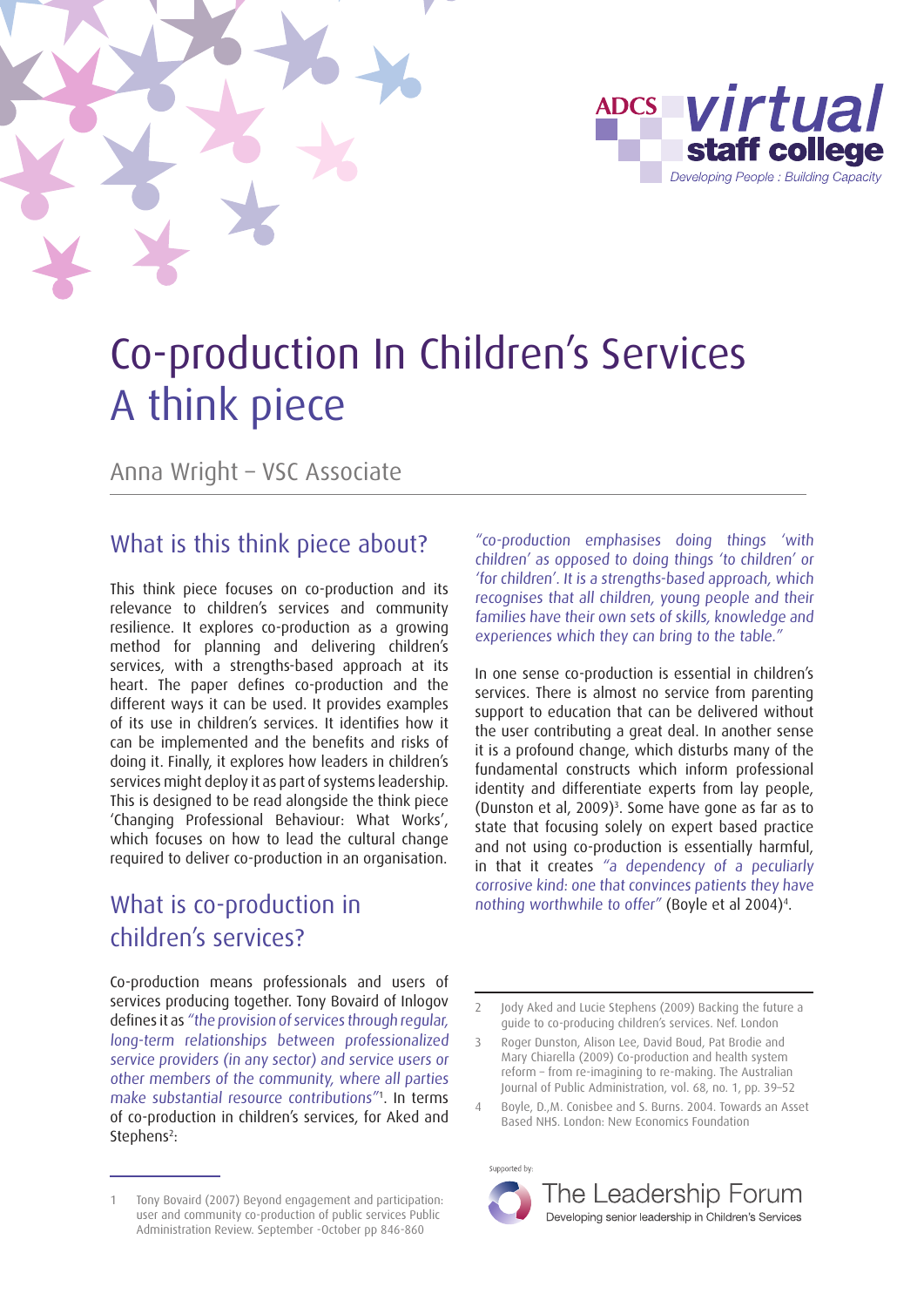



# Co-production In Children's Services A think piece

Anna Wright – VSC Associate

## What is this think piece about?

This think piece focuses on co-production and its relevance to children's services and community resilience. It explores co-production as a growing method for planning and delivering children's services, with a strengths-based approach at its heart. The paper defines co-production and the different ways it can be used. It provides examples of its use in children's services. It identifies how it can be implemented and the benefits and risks of doing it. Finally, it explores how leaders in children's services might deploy it as part of systems leadership. This is designed to be read alongside the think piece 'Changing Professional Behaviour: What Works', which focuses on how to lead the cultural change required to deliver co-production in an organisation.

# What is co-production in children's services?

Co-production means professionals and users of services producing together. Tony Bovaird of Inlogov defines it as "the provision of services through regular, long-term relationships between professionalized service providers (in any sector) and service users or other members of the community, where all parties make substantial resource contributions"1 . In terms of co-production in children's services, for Aked and Stephens<sup>2</sup>:

"co-production emphasises doing things 'with children' as opposed to doing things 'to children' or 'for children'. It is a strengths-based approach, which recognises that all children, young people and their families have their own sets of skills, knowledge and experiences which they can bring to the table."

In one sense co-production is essential in children's services. There is almost no service from parenting support to education that can be delivered without the user contributing a great deal. In another sense it is a profound change, which disturbs many of the fundamental constructs which inform professional identity and differentiate experts from lay people, (Dunston et al, 2009)<sup>3</sup>. Some have gone as far as to state that focusing solely on expert based practice and not using co-production is essentially harmful, in that it creates "a dependency of a peculiarly corrosive kind: one that convinces patients they have nothing worthwhile to offer" (Boyle et al 2004)4 .

Supported by





<sup>1</sup> Tony Bovaird (2007) Beyond engagement and participation: user and community co-production of public services Public Administration Review. September -October pp 846-860

<sup>2</sup> Jody Aked and Lucie Stephens (2009) Backing the future a guide to co-producing children's services. Nef. London

<sup>3</sup> Roger Dunston, Alison Lee, David Boud, Pat Brodie and Mary Chiarella (2009) Co-production and health system reform – from re-imagining to re-making. The Australian Journal of Public Administration, vol. 68, no. 1, pp. 39–52

Boyle, D.,M. Conisbee and S. Burns. 2004. Towards an Asset Based NHS. London: New Economics Foundation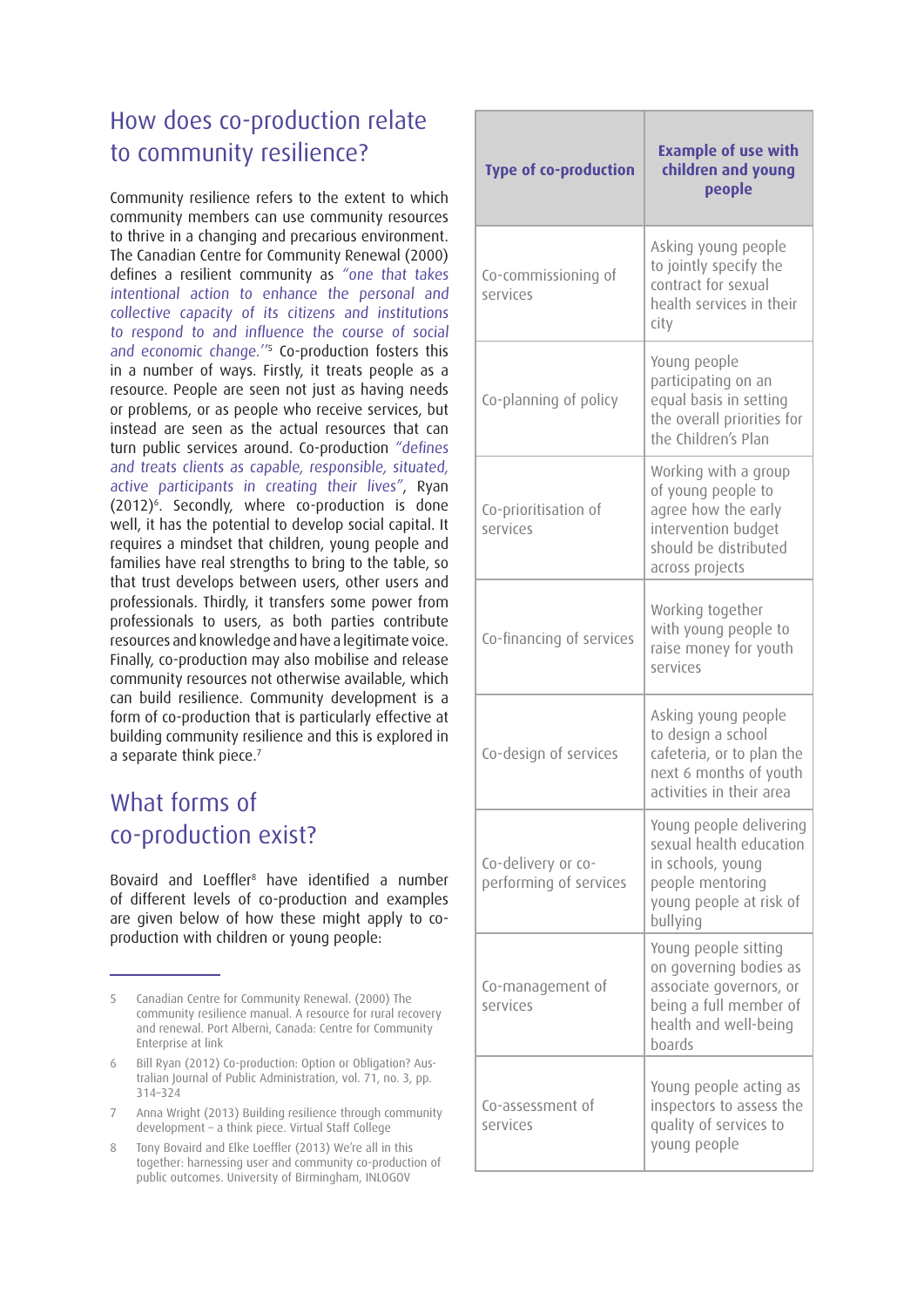# How does co-production relate to community resilience?

Community resilience refers to the extent to which community members can use community resources to thrive in a changing and precarious environment. The Canadian Centre for Community Renewal (2000) defines a resilient community as "one that takes intentional action to enhance the personal and collective capacity of its citizens and institutions to respond to and influence the course of social and economic change.<sup>175</sup> Co-production fosters this in a number of ways. Firstly, it treats people as a resource. People are seen not just as having needs or problems, or as people who receive services, but instead are seen as the actual resources that can turn public services around. Co-production "defines and treats clients as capable, responsible, situated, active participants in creating their lives", Ryan (2012)6 . Secondly, where co-production is done well, it has the potential to develop social capital. It requires a mindset that children, young people and families have real strengths to bring to the table, so that trust develops between users, other users and professionals. Thirdly, it transfers some power from professionals to users, as both parties contribute resources and knowledge and have a legitimate voice. Finally, co-production may also mobilise and release community resources not otherwise available, which can build resilience. Community development is a form of co-production that is particularly effective at building community resilience and this is explored in a separate think piece.<sup>7</sup>

## What forms of co-production exist?

Bovaird and Loeffler<sup>8</sup> have identified a number of different levels of co-production and examples are given below of how these might apply to coproduction with children or young people:

- 6 Bill Ryan (2012) Co-production: Option or Obligation? Australian Journal of Public Administration, vol. 71, no. 3, pp. 314–324
- 7 Anna Wright (2013) Building resilience through community development – a think piece. Virtual Staff College
- 8 Tony Bovaird and Elke Loeffler (2013) We're all in this together: harnessing user and community co-production of public outcomes. University of Birmingham, INLOGOV

| <b>Type of co-production</b>                 | <b>Example of use with</b><br>children and young<br>people                                                                             |
|----------------------------------------------|----------------------------------------------------------------------------------------------------------------------------------------|
| Co-commissioning of<br>services              | Asking young people<br>to jointly specify the<br>contract for sexual<br>health services in their<br>city                               |
| Co-planning of policy                        | Young people<br>participating on an<br>equal basis in setting<br>the overall priorities for<br>the Children's Plan                     |
| Co-prioritisation of<br>services             | Working with a group<br>of young people to<br>agree how the early<br>intervention budget<br>should be distributed<br>across projects   |
| Co-financing of services                     | Working together<br>with young people to<br>raise money for youth<br>services                                                          |
| Co-design of services                        | Asking young people<br>to design a school<br>cafeteria, or to plan the<br>next 6 months of youth<br>activities in their area           |
| Co-delivery or co-<br>performing of services | Young people delivering<br>sexual health education<br>in schools, young<br>people mentoring<br>young people at risk of<br>bullying     |
| Co-management of<br>services                 | Young people sitting<br>on governing bodies as<br>associate governors, or<br>being a full member of<br>health and well-being<br>boards |
| Co-assessment of<br>services                 | Young people acting as<br>inspectors to assess the<br>quality of services to<br>young people                                           |

<sup>5</sup> Canadian Centre for Community Renewal. (2000) The community resilience manual. A resource for rural recovery and renewal. Port Alberni, Canada: Centre for Community Enterprise at link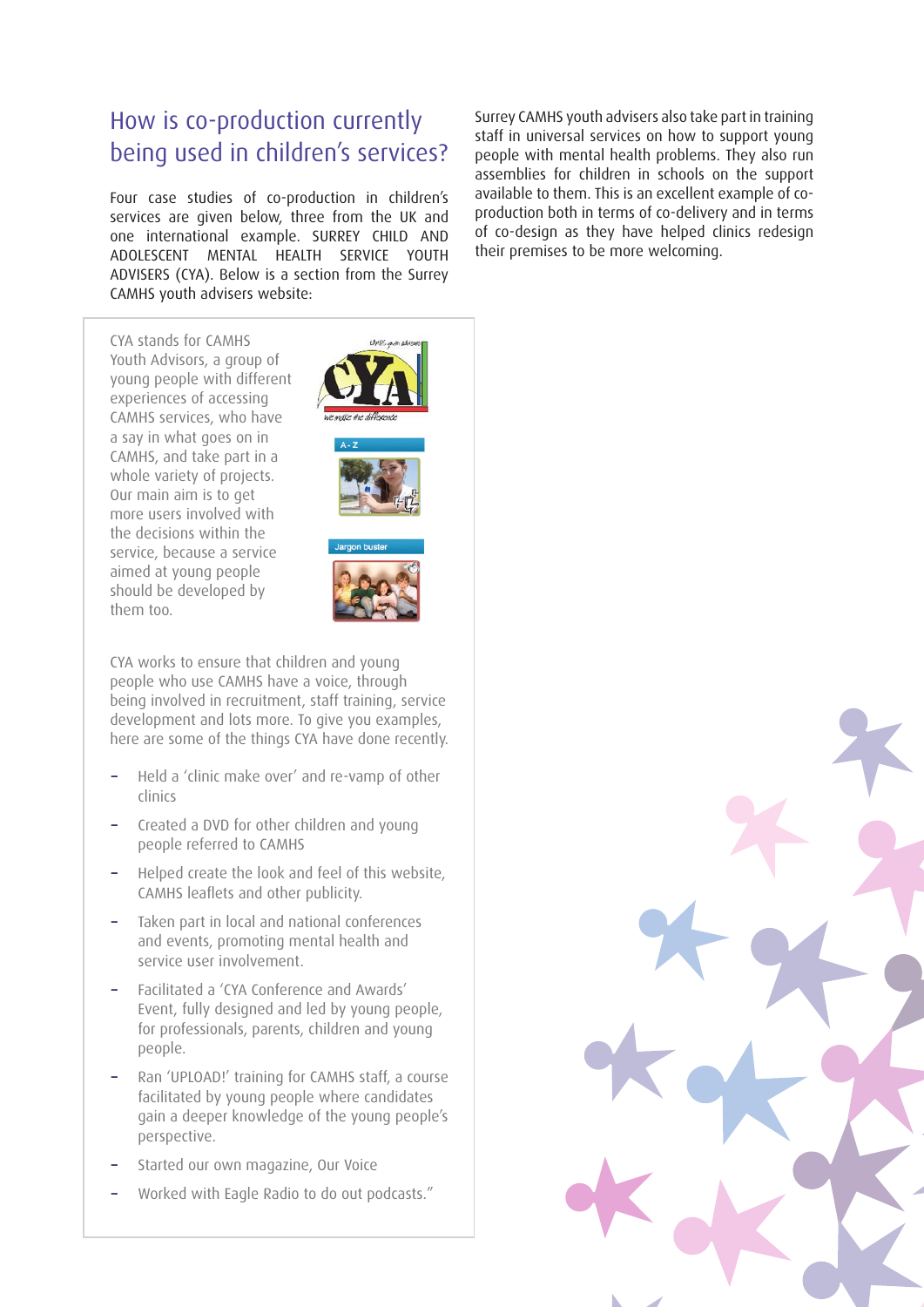### How is co-production currently being used in children's services?

Four case studies of co-production in children's services are given below, three from the UK and one international example. SURREY CHILD AND ADOLESCENT MENTAL HEALTH SERVICE YOUTH ADVISERS (CYA). Below is a section from the Surrey CAMHS youth advisers website:

CYA stands for CAMHS Youth Advisors, a group of young people with different experiences of accessing CAMHS services, who have a say in what goes on in CAMHS, and take part in a whole variety of projects. Our main aim is to get more users involved with the decisions within the service, because a service aimed at young people should be developed by them too.







CYA works to ensure that children and young people who use CAMHS have a voice, through being involved in recruitment, staff training, service development and lots more. To give you examples, here are some of the things CYA have done recently.

- **−** Held a 'clinic make over' and re-vamp of other clinics
- **−** Created a DVD for other children and young people referred to CAMHS
- **−** Helped create the look and feel of this website, CAMHS leaflets and other publicity.
- **−** Taken part in local and national conferences and events, promoting mental health and service user involvement.
- **−** Facilitated a 'CYA Conference and Awards' Event, fully designed and led by young people, for professionals, parents, children and young people.
- **−** Ran 'UPLOAD!' training for CAMHS staff, a course facilitated by young people where candidates gain a deeper knowledge of the young people's perspective.
- **−** Started our own magazine, Our Voice
- **−** Worked with Eagle Radio to do out podcasts."

Surrey CAMHS youth advisers also take part in training staff in universal services on how to support young people with mental health problems. They also run assemblies for children in schools on the support available to them. This is an excellent example of coproduction both in terms of co-delivery and in terms of co-design as they have helped clinics redesign their premises to be more welcoming.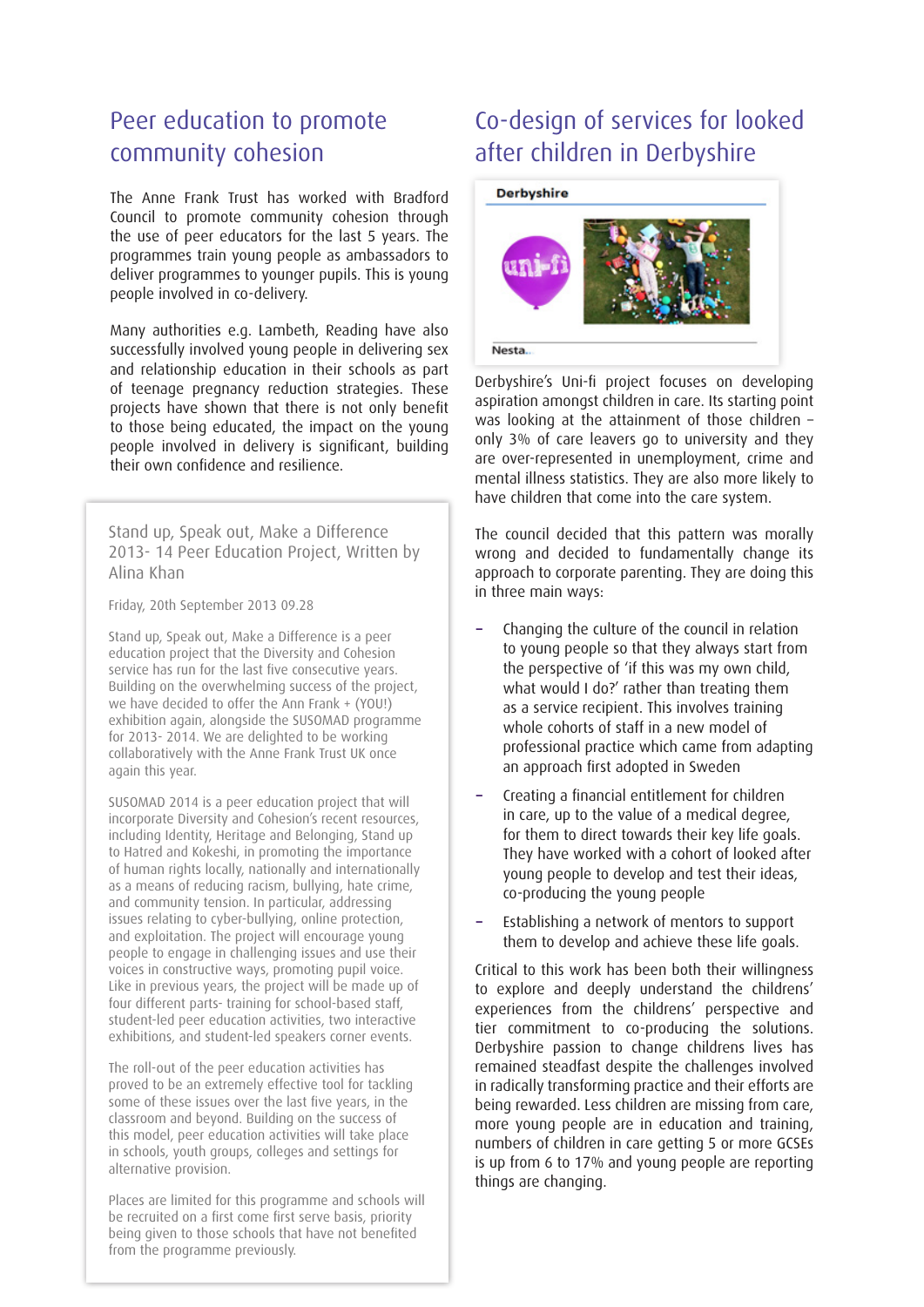### Peer education to promote community cohesion

The Anne Frank Trust has worked with Bradford Council to promote community cohesion through the use of peer educators for the last 5 years. The programmes train young people as ambassadors to deliver programmes to younger pupils. This is young people involved in co-delivery.

Many authorities e.g. Lambeth, Reading have also successfully involved young people in delivering sex and relationship education in their schools as part of teenage pregnancy reduction strategies. These projects have shown that there is not only benefit to those being educated, the impact on the young people involved in delivery is significant, building their own confidence and resilience.

Stand up, Speak out, Make a Difference 2013- 14 Peer Education Project, Written by Alina Khan

Friday, 20th September 2013 09.28

Stand up, Speak out, Make a Difference is a peer education project that the Diversity and Cohesion service has run for the last five consecutive years. Building on the overwhelming success of the project, we have decided to offer the Ann Frank + (YOU!) exhibition again, alongside the SUSOMAD programme for 2013- 2014. We are delighted to be working collaboratively with the Anne Frank Trust UK once again this year.

SUSOMAD 2014 is a peer education project that will incorporate Diversity and Cohesion's recent resources, including Identity, Heritage and Belonging, Stand up to Hatred and Kokeshi, in promoting the importance of human rights locally, nationally and internationally as a means of reducing racism, bullying, hate crime, and community tension. In particular, addressing issues relating to cyber-bullying, online protection, and exploitation. The project will encourage young people to engage in challenging issues and use their voices in constructive ways, promoting pupil voice. Like in previous years, the project will be made up of four different parts- training for school-based staff, student-led peer education activities, two interactive exhibitions, and student-led speakers corner events.

The roll-out of the peer education activities has proved to be an extremely effective tool for tackling some of these issues over the last five years, in the classroom and beyond. Building on the success of this model, peer education activities will take place in schools, youth groups, colleges and settings for alternative provision.

Places are limited for this programme and schools will be recruited on a first come first serve basis, priority being given to those schools that have not benefited from the programme previously.

# Co-design of services for looked after children in Derbyshire



Derbyshire's Uni-fi project focuses on developing aspiration amongst children in care. Its starting point was looking at the attainment of those children – only 3% of care leavers go to university and they are over-represented in unemployment, crime and mental illness statistics. They are also more likely to have children that come into the care system.

The council decided that this pattern was morally wrong and decided to fundamentally change its approach to corporate parenting. They are doing this in three main ways:

- **−** Changing the culture of the council in relation to young people so that they always start from the perspective of 'if this was my own child, what would I do?' rather than treating them as a service recipient. This involves training whole cohorts of staff in a new model of professional practice which came from adapting an approach first adopted in Sweden
- **−** Creating a financial entitlement for children in care, up to the value of a medical degree, for them to direct towards their key life goals. They have worked with a cohort of looked after young people to develop and test their ideas, co-producing the young people
- **−** Establishing a network of mentors to support them to develop and achieve these life goals.

Critical to this work has been both their willingness to explore and deeply understand the childrens' experiences from the childrens' perspective and tier commitment to co-producing the solutions. Derbyshire passion to change childrens lives has remained steadfast despite the challenges involved in radically transforming practice and their efforts are being rewarded. Less children are missing from care, more young people are in education and training, numbers of children in care getting 5 or more GCSEs is up from 6 to 17% and young people are reporting things are changing.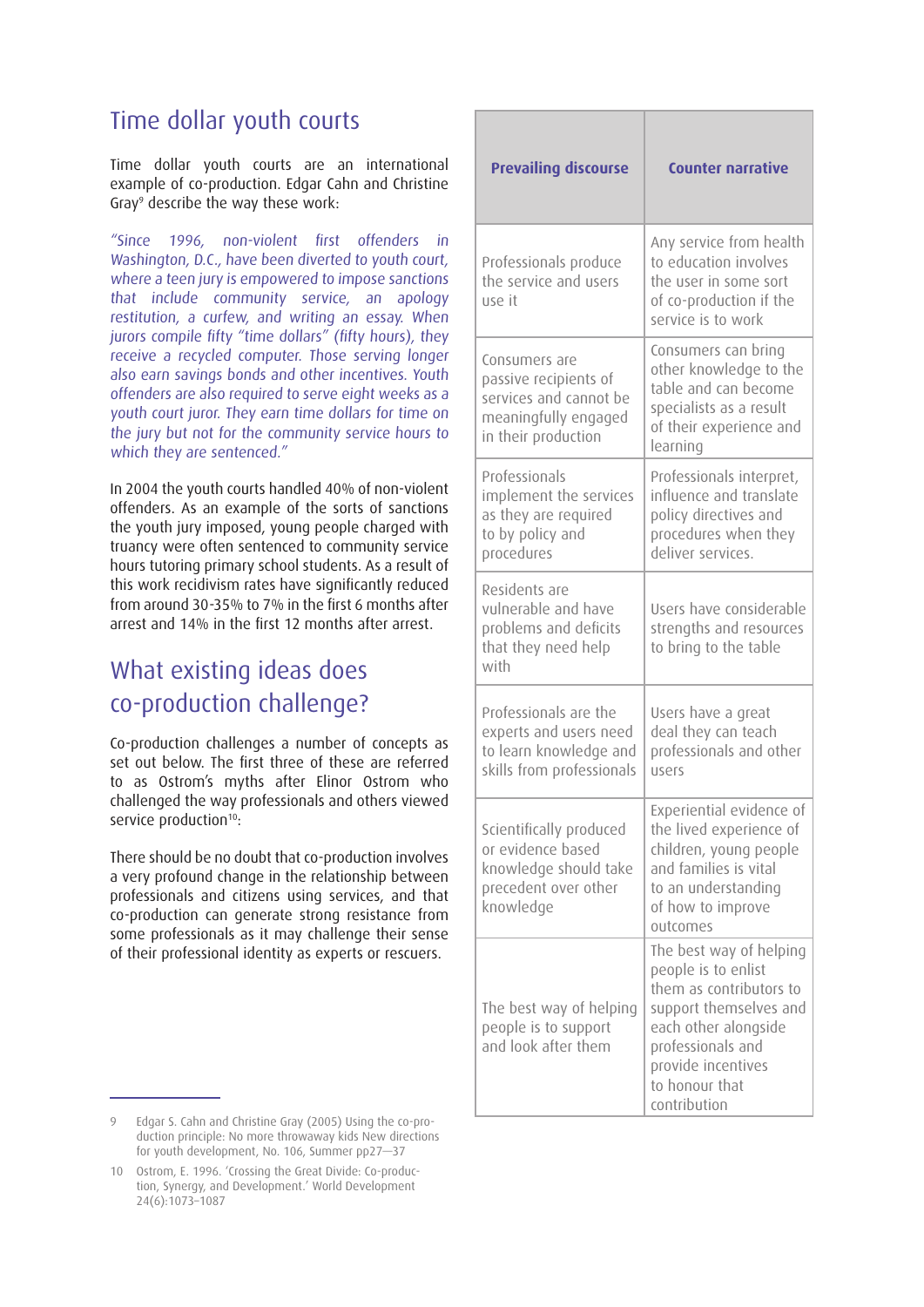#### Time dollar youth courts

Time dollar youth courts are an international example of co-production. Edgar Cahn and Christine Gray9 describe the way these work:

"Since 1996, non-violent first offenders in Washington, D.C., have been diverted to youth court, where a teen jury is empowered to impose sanctions that include community service, an apology restitution, a curfew, and writing an essay. When jurors compile fifty "time dollars" (fifty hours), they receive a recycled computer. Those serving longer also earn savings bonds and other incentives. Youth offenders are also required to serve eight weeks as a youth court juror. They earn time dollars for time on the jury but not for the community service hours to which they are sentenced."

In 2004 the youth courts handled 40% of non-violent offenders. As an example of the sorts of sanctions the youth jury imposed, young people charged with truancy were often sentenced to community service hours tutoring primary school students. As a result of this work recidivism rates have significantly reduced from around 30-35% to 7% in the first 6 months after arrest and 14% in the first 12 months after arrest.

# What existing ideas does co-production challenge?

Co-production challenges a number of concepts as set out below. The first three of these are referred to as Ostrom's myths after Elinor Ostrom who challenged the way professionals and others viewed service production<sup>10</sup>:

There should be no doubt that co-production involves a very profound change in the relationship between professionals and citizens using services, and that co-production can generate strong resistance from some professionals as it may challenge their sense of their professional identity as experts or rescuers.

| <b>Prevailing discourse</b>                                                                                     | <b>Counter narrative</b>                                                                                                                                                                 |
|-----------------------------------------------------------------------------------------------------------------|------------------------------------------------------------------------------------------------------------------------------------------------------------------------------------------|
| Professionals produce<br>the service and users<br>use it                                                        | Any service from health<br>to education involves<br>the user in some sort<br>of co-production if the<br>service is to work                                                               |
| Consumers are<br>passive recipients of<br>services and cannot be<br>meaningfully engaged<br>in their production | Consumers can bring<br>other knowledge to the<br>table and can become<br>specialists as a result<br>of their experience and<br>learning                                                  |
| Professionals<br>implement the services<br>as they are required<br>to by policy and<br>procedures               | Professionals interpret,<br>influence and translate<br>policy directives and<br>procedures when they<br>deliver services.                                                                |
| Residents are<br>vulnerable and have<br>problems and deficits<br>that they need help<br>with                    | Users have considerable<br>strengths and resources<br>to bring to the table                                                                                                              |
| Professionals are the<br>experts and users need<br>to learn knowledge and<br>skills from professionals          | Users have a great<br>deal they can teach<br>professionals and other<br>users                                                                                                            |
| Scientifically produced<br>or evidence based<br>knowledge should take<br>precedent over other<br>knowledge      | Experiential evidence of<br>the lived experience of<br>children, young people<br>and families is vital<br>to an understanding<br>of how to improve<br>outcomes                           |
| The best way of helping<br>people is to support<br>and look after them                                          | The best way of helping<br>people is to enlist<br>them as contributors to<br>support themselves and<br>each other alongside<br>professionals and<br>provide incentives<br>to honour that |

contribution

<sup>9</sup> Edgar S. Cahn and Christine Gray (2005) Using the co-production principle: No more throwaway kids New directions for youth development, No. 106, Summer pp27—37

<sup>10</sup> Ostrom, E. 1996. 'Crossing the Great Divide: Co-production, Synergy, and Development.' World Development 24(6):1073–1087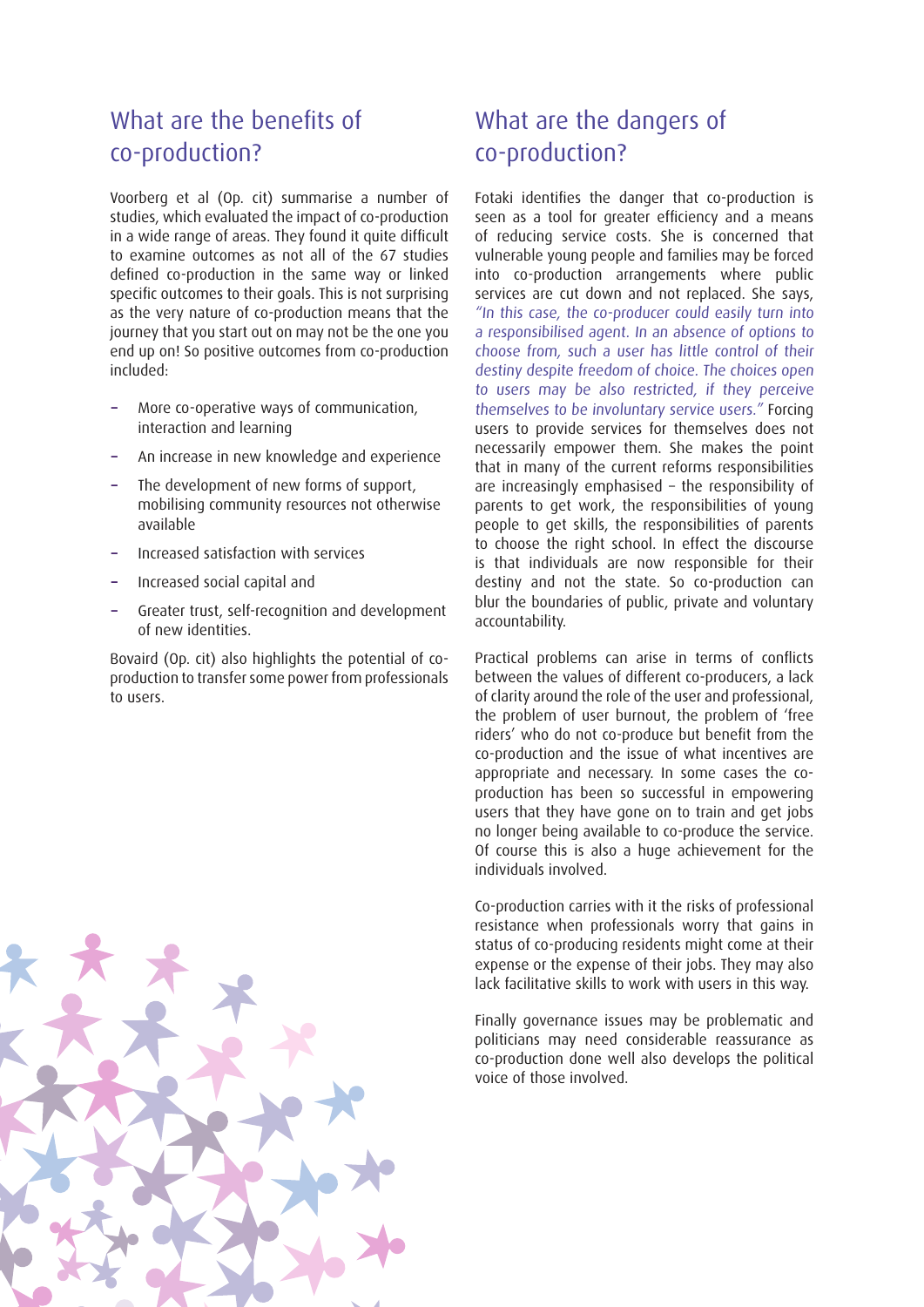# What are the benefits of co-production?

Voorberg et al (Op. cit) summarise a number of studies, which evaluated the impact of co-production in a wide range of areas. They found it quite difficult to examine outcomes as not all of the 67 studies defined co-production in the same way or linked specific outcomes to their goals. This is not surprising as the very nature of co-production means that the journey that you start out on may not be the one you end up on! So positive outcomes from co-production included:

- **−** More co-operative ways of communication, interaction and learning
- **−** An increase in new knowledge and experience
- The development of new forms of support, mobilising community resources not otherwise available
- **−** Increased satisfaction with services
- **−** Increased social capital and
- **−** Greater trust, self-recognition and development of new identities.

Bovaird (Op. cit) also highlights the potential of coproduction to transfer some power from professionals to users.

## What are the dangers of co-production?

Fotaki identifies the danger that co-production is seen as a tool for greater efficiency and a means of reducing service costs. She is concerned that vulnerable young people and families may be forced into co-production arrangements where public services are cut down and not replaced. She says, "In this case, the co-producer could easily turn into a responsibilised agent. In an absence of options to choose from, such a user has little control of their destiny despite freedom of choice. The choices open to users may be also restricted, if they perceive themselves to be involuntary service users." Forcing users to provide services for themselves does not necessarily empower them. She makes the point that in many of the current reforms responsibilities are increasingly emphasised – the responsibility of parents to get work, the responsibilities of young people to get skills, the responsibilities of parents to choose the right school. In effect the discourse is that individuals are now responsible for their destiny and not the state. So co-production can blur the boundaries of public, private and voluntary accountability.

Practical problems can arise in terms of conflicts between the values of different co-producers, a lack of clarity around the role of the user and professional, the problem of user burnout, the problem of 'free riders' who do not co-produce but benefit from the co-production and the issue of what incentives are appropriate and necessary. In some cases the coproduction has been so successful in empowering users that they have gone on to train and get jobs no longer being available to co-produce the service. Of course this is also a huge achievement for the individuals involved.

Co-production carries with it the risks of professional resistance when professionals worry that gains in status of co-producing residents might come at their expense or the expense of their jobs. They may also lack facilitative skills to work with users in this way.

Finally governance issues may be problematic and politicians may need considerable reassurance as co-production done well also develops the political voice of those involved.

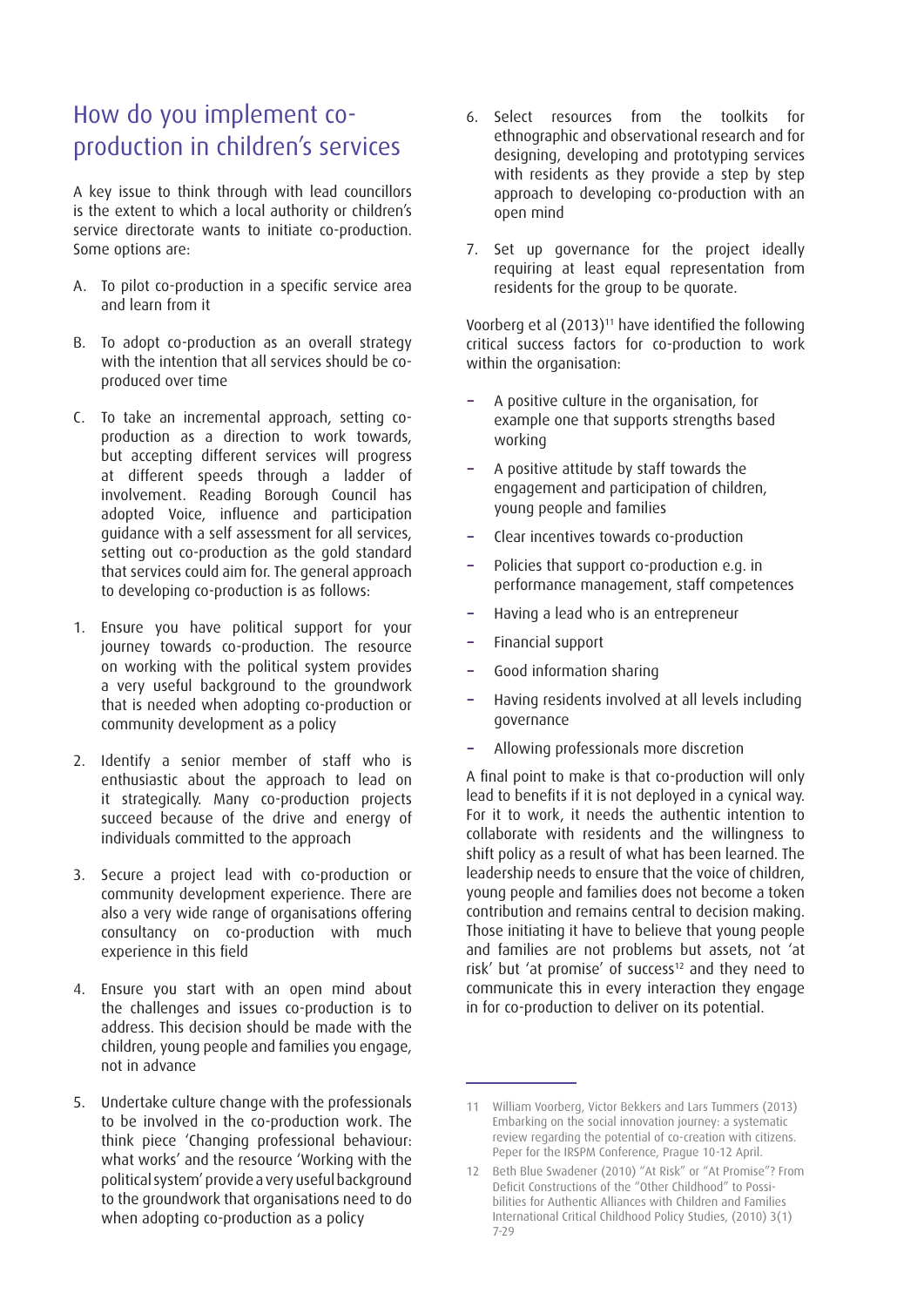# How do you implement coproduction in children's services

A key issue to think through with lead councillors is the extent to which a local authority or children's service directorate wants to initiate co-production. Some options are:

- A. To pilot co-production in a specific service area and learn from it
- B. To adopt co-production as an overall strategy with the intention that all services should be coproduced over time
- C. To take an incremental approach, setting coproduction as a direction to work towards, but accepting different services will progress at different speeds through a ladder of involvement. Reading Borough Council has adopted Voice, influence and participation guidance with a self assessment for all services, setting out co-production as the gold standard that services could aim for. The general approach to developing co-production is as follows:
- 1. Ensure you have political support for your journey towards co-production. The resource on working with the political system provides a very useful background to the groundwork that is needed when adopting co-production or community development as a policy
- 2. Identify a senior member of staff who is enthusiastic about the approach to lead on it strategically. Many co-production projects succeed because of the drive and energy of individuals committed to the approach
- 3. Secure a project lead with co-production or community development experience. There are also a very wide range of organisations offering consultancy on co-production with much experience in this field
- 4. Ensure you start with an open mind about the challenges and issues co-production is to address. This decision should be made with the children, young people and families you engage, not in advance
- 5. Undertake culture change with the professionals to be involved in the co-production work. The think piece 'Changing professional behaviour: what works' and the resource 'Working with the political system' provide a very useful background to the groundwork that organisations need to do when adopting co-production as a policy
- 6. Select resources from the toolkits for ethnographic and observational research and for designing, developing and prototyping services with residents as they provide a step by step approach to developing co-production with an open mind
- 7. Set up governance for the project ideally requiring at least equal representation from residents for the group to be quorate.

Voorberg et al (2013)<sup>11</sup> have identified the following critical success factors for co-production to work within the organisation:

- **−** A positive culture in the organisation, for example one that supports strengths based working
- **−** A positive attitude by staff towards the engagement and participation of children, young people and families
- **−** Clear incentives towards co-production
- **−** Policies that support co-production e.g. in performance management, staff competences
- **−** Having a lead who is an entrepreneur
- **−** Financial support
- **−** Good information sharing
- **−** Having residents involved at all levels including governance
- **−** Allowing professionals more discretion

A final point to make is that co-production will only lead to benefits if it is not deployed in a cynical way. For it to work, it needs the authentic intention to collaborate with residents and the willingness to shift policy as a result of what has been learned. The leadership needs to ensure that the voice of children, young people and families does not become a token contribution and remains central to decision making. Those initiating it have to believe that young people and families are not problems but assets, not 'at risk' but 'at promise' of success<sup>12</sup> and they need to communicate this in every interaction they engage in for co-production to deliver on its potential.

<sup>11</sup> William Voorberg, Victor Bekkers and Lars Tummers (2013) Embarking on the social innovation journey: a systematic review regarding the potential of co-creation with citizens. Peper for the IRSPM Conference, Prague 10-12 April.

<sup>12</sup> Beth Blue Swadener (2010) "At Risk" or "At Promise"? From Deficit Constructions of the "Other Childhood" to Possibilities for Authentic Alliances with Children and Families International Critical Childhood Policy Studies, (2010) 3(1) 7-29